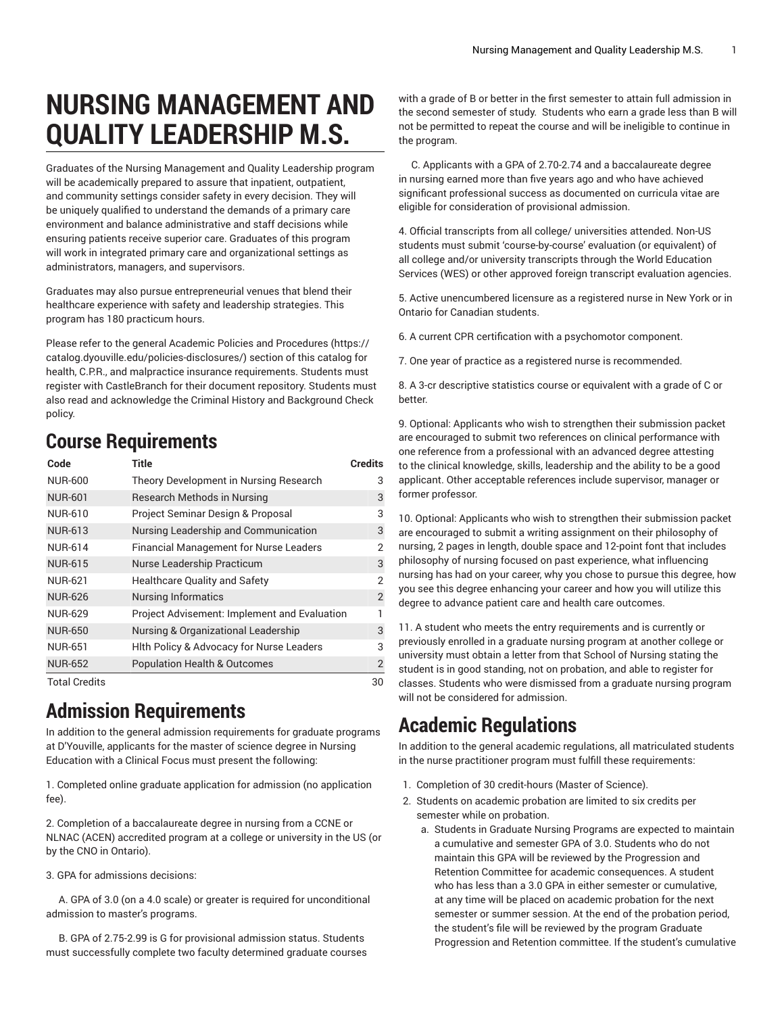## **NURSING MANAGEMENT AND QUALITY LEADERSHIP M.S.**

Graduates of the Nursing Management and Quality Leadership program will be academically prepared to assure that inpatient, outpatient, and community settings consider safety in every decision. They will be uniquely qualified to understand the demands of a primary care environment and balance administrative and staff decisions while ensuring patients receive superior care. Graduates of this program will work in integrated primary care and organizational settings as administrators, managers, and supervisors.

Graduates may also pursue entrepreneurial venues that blend their healthcare experience with safety and leadership strategies. This program has 180 practicum hours.

Please refer to the general Academic Policies and [Procedures \(https://](https://catalog.dyouville.edu/policies-disclosures/) [catalog.dyouville.edu/policies-disclosures/](https://catalog.dyouville.edu/policies-disclosures/)) section of this catalog for health, C.P.R., and malpractice insurance requirements. Students must register with CastleBranch for their document repository. Students must also read and acknowledge the Criminal History and Background Check policy.

## **Course Requirements**

| Code           | <b>Title</b>                                  | <b>Credits</b> |
|----------------|-----------------------------------------------|----------------|
| <b>NUR-600</b> | Theory Development in Nursing Research        | 3              |
| <b>NUR-601</b> | Research Methods in Nursing                   | 3              |
| <b>NUR-610</b> | Project Seminar Design & Proposal             | 3              |
| <b>NUR-613</b> | Nursing Leadership and Communication          | 3              |
| <b>NUR-614</b> | <b>Financial Management for Nurse Leaders</b> | 2              |
| <b>NUR-615</b> | Nurse Leadership Practicum                    | 3              |
| <b>NUR-621</b> | <b>Healthcare Quality and Safety</b>          | 2              |
| <b>NUR-626</b> | <b>Nursing Informatics</b>                    | $\overline{2}$ |
| <b>NUR-629</b> | Project Advisement: Implement and Evaluation  | 1              |
| <b>NUR-650</b> | Nursing & Organizational Leadership           | 3              |
| <b>NUR-651</b> | Hith Policy & Advocacy for Nurse Leaders      | 3              |
| <b>NUR-652</b> | <b>Population Health &amp; Outcomes</b>       | $\overline{2}$ |
| Total Credits  |                                               | 30             |

## **Admission Requirements**

In addition to the general admission requirements for graduate programs at D'Youville, applicants for the master of science degree in Nursing Education with a Clinical Focus must present the following:

1. Completed online graduate application for admission (no application fee).

2. Completion of a baccalaureate degree in nursing from a CCNE or NLNAC (ACEN) accredited program at a college or university in the US (or by the CNO in Ontario).

3. GPA for admissions decisions:

A. GPA of 3.0 (on a 4.0 scale) or greater is required for unconditional admission to master's programs.

B. GPA of 2.75-2.99 is G for provisional admission status. Students must successfully complete two faculty determined graduate courses

with a grade of B or better in the first semester to attain full admission in the second semester of study. Students who earn a grade less than B will not be permitted to repeat the course and will be ineligible to continue in the program.

C. Applicants with a GPA of 2.70-2.74 and a baccalaureate degree in nursing earned more than five years ago and who have achieved significant professional success as documented on curricula vitae are eligible for consideration of provisional admission.

4. Official transcripts from all college/ universities attended. Non-US students must submit 'course-by-course' evaluation (or equivalent) of all college and/or university transcripts through the World Education Services (WES) or other approved foreign transcript evaluation agencies.

5. Active unencumbered licensure as a registered nurse in New York or in Ontario for Canadian students.

6. A current CPR certification with a psychomotor component.

7. One year of practice as a registered nurse is recommended.

8. A 3-cr descriptive statistics course or equivalent with a grade of C or better.

9. Optional: Applicants who wish to strengthen their submission packet are encouraged to submit two references on clinical performance with one reference from a professional with an advanced degree attesting to the clinical knowledge, skills, leadership and the ability to be a good applicant. Other acceptable references include supervisor, manager or former professor.

10. Optional: Applicants who wish to strengthen their submission packet are encouraged to submit a writing assignment on their philosophy of nursing, 2 pages in length, double space and 12-point font that includes philosophy of nursing focused on past experience, what influencing nursing has had on your career, why you chose to pursue this degree, how you see this degree enhancing your career and how you will utilize this degree to advance patient care and health care outcomes.

11. A student who meets the entry requirements and is currently or previously enrolled in a graduate nursing program at another college or university must obtain a letter from that School of Nursing stating the student is in good standing, not on probation, and able to register for classes. Students who were dismissed from a graduate nursing program will not be considered for admission.

## **Academic Regulations**

In addition to the general academic regulations, all matriculated students in the nurse practitioner program must fulfill these requirements:

- 1. Completion of 30 credit-hours (Master of Science).
- 2. Students on academic probation are limited to six credits per semester while on probation.
	- a. Students in Graduate Nursing Programs are expected to maintain a cumulative and semester GPA of 3.0. Students who do not maintain this GPA will be reviewed by the Progression and Retention Committee for academic consequences. A student who has less than a 3.0 GPA in either semester or cumulative, at any time will be placed on academic probation for the next semester or summer session. At the end of the probation period, the student's file will be reviewed by the program Graduate Progression and Retention committee. If the student's cumulative